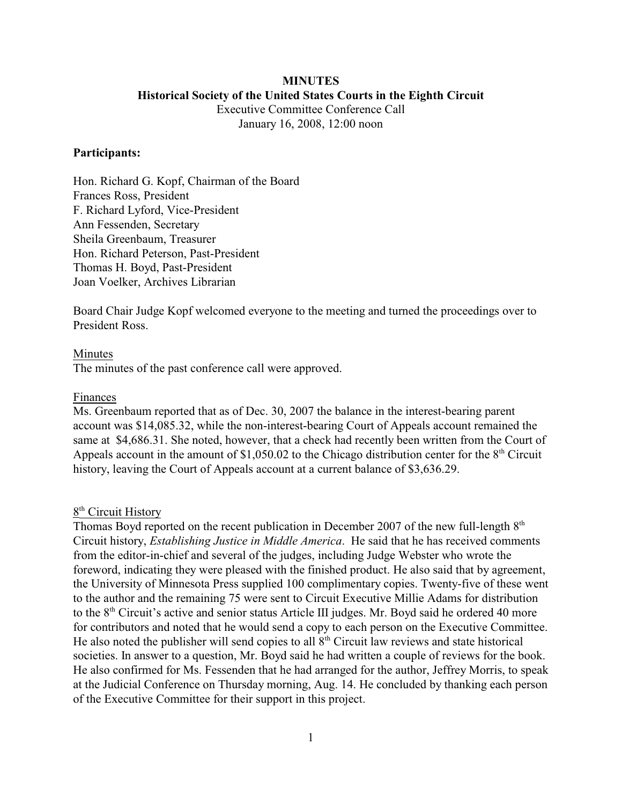# **MINUTES Historical Society of the United States Courts in the Eighth Circuit**

Executive Committee Conference Call January 16, 2008, 12:00 noon

# **Participants:**

Hon. Richard G. Kopf, Chairman of the Board Frances Ross, President F. Richard Lyford, Vice-President Ann Fessenden, Secretary Sheila Greenbaum, Treasurer Hon. Richard Peterson, Past-President Thomas H. Boyd, Past-President Joan Voelker, Archives Librarian

Board Chair Judge Kopf welcomed everyone to the meeting and turned the proceedings over to President Ross.

#### Minutes

The minutes of the past conference call were approved.

#### Finances

Ms. Greenbaum reported that as of Dec. 30, 2007 the balance in the interest-bearing parent account was \$14,085.32, while the non-interest-bearing Court of Appeals account remained the same at \$4,686.31. She noted, however, that a check had recently been written from the Court of Appeals account in the amount of  $$1,050.02$  to the Chicago distribution center for the  $8<sup>th</sup>$  Circuit history, leaving the Court of Appeals account at a current balance of \$3,636.29.

# $8<sup>th</sup>$  Circuit History

Thomas Boyd reported on the recent publication in December 2007 of the new full-length  $8<sup>th</sup>$ Circuit history, *Establishing Justice in Middle America*. He said that he has received comments from the editor-in-chief and several of the judges, including Judge Webster who wrote the foreword, indicating they were pleased with the finished product. He also said that by agreement, the University of Minnesota Press supplied 100 complimentary copies. Twenty-five of these went to the author and the remaining 75 were sent to Circuit Executive Millie Adams for distribution to the  $8<sup>th</sup>$  Circuit's active and senior status Article III judges. Mr. Boyd said he ordered 40 more for contributors and noted that he would send a copy to each person on the Executive Committee. He also noted the publisher will send copies to all  $8<sup>th</sup>$  Circuit law reviews and state historical societies. In answer to a question, Mr. Boyd said he had written a couple of reviews for the book. He also confirmed for Ms. Fessenden that he had arranged for the author, Jeffrey Morris, to speak at the Judicial Conference on Thursday morning, Aug. 14. He concluded by thanking each person of the Executive Committee for their support in this project.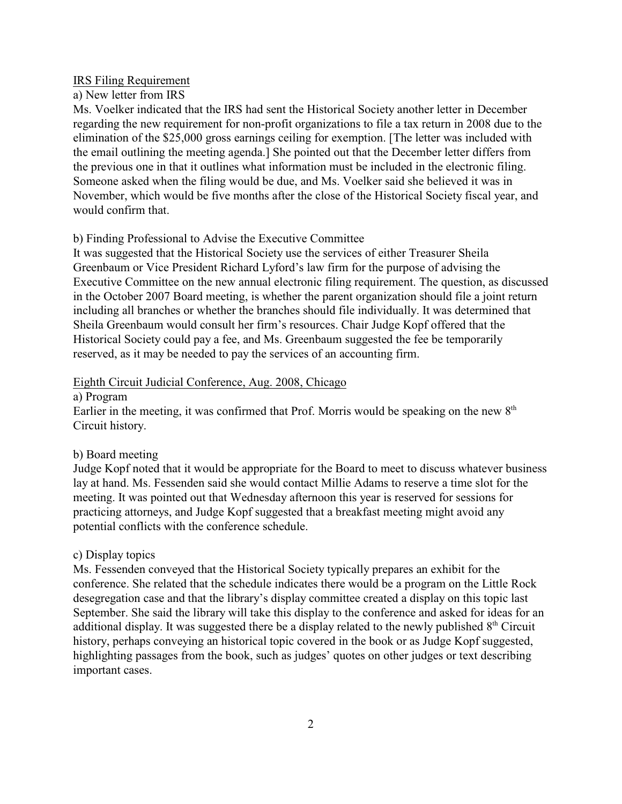#### IRS Filing Requirement

# a) New letter from IRS

Ms. Voelker indicated that the IRS had sent the Historical Society another letter in December regarding the new requirement for non-profit organizations to file a tax return in 2008 due to the elimination of the \$25,000 gross earnings ceiling for exemption. [The letter was included with the email outlining the meeting agenda.] She pointed out that the December letter differs from the previous one in that it outlines what information must be included in the electronic filing. Someone asked when the filing would be due, and Ms. Voelker said she believed it was in November, which would be five months after the close of the Historical Society fiscal year, and would confirm that.

### b) Finding Professional to Advise the Executive Committee

It was suggested that the Historical Society use the services of either Treasurer Sheila Greenbaum or Vice President Richard Lyford's law firm for the purpose of advising the Executive Committee on the new annual electronic filing requirement. The question, as discussed in the October 2007 Board meeting, is whether the parent organization should file a joint return including all branches or whether the branches should file individually. It was determined that Sheila Greenbaum would consult her firm's resources. Chair Judge Kopf offered that the Historical Society could pay a fee, and Ms. Greenbaum suggested the fee be temporarily reserved, as it may be needed to pay the services of an accounting firm.

# Eighth Circuit Judicial Conference, Aug. 2008, Chicago

# a) Program

Earlier in the meeting, it was confirmed that Prof. Morris would be speaking on the new  $8<sup>th</sup>$ Circuit history.

### b) Board meeting

Judge Kopf noted that it would be appropriate for the Board to meet to discuss whatever business lay at hand. Ms. Fessenden said she would contact Millie Adams to reserve a time slot for the meeting. It was pointed out that Wednesday afternoon this year is reserved for sessions for practicing attorneys, and Judge Kopf suggested that a breakfast meeting might avoid any potential conflicts with the conference schedule.

#### c) Display topics

Ms. Fessenden conveyed that the Historical Society typically prepares an exhibit for the conference. She related that the schedule indicates there would be a program on the Little Rock desegregation case and that the library's display committee created a display on this topic last September. She said the library will take this display to the conference and asked for ideas for an additional display. It was suggested there be a display related to the newly published  $8<sup>th</sup>$  Circuit history, perhaps conveying an historical topic covered in the book or as Judge Kopf suggested, highlighting passages from the book, such as judges' quotes on other judges or text describing important cases.